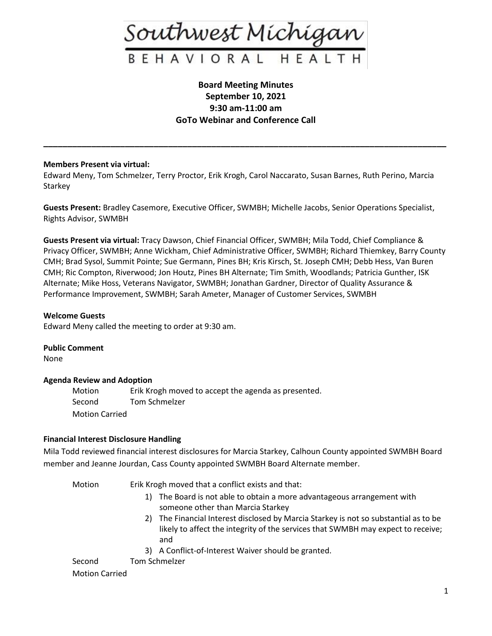

# **Board Meeting Minutes September 10, 2021 9:30 am-11:00 am GoTo Webinar and Conference Call**

**\_\_\_\_\_\_\_\_\_\_\_\_\_\_\_\_\_\_\_\_\_\_\_\_\_\_\_\_\_\_\_\_\_\_\_\_\_\_\_\_\_\_\_\_\_\_\_\_\_\_\_\_\_\_\_\_\_\_\_\_\_\_\_\_\_\_\_\_\_\_\_\_\_\_\_\_\_\_\_\_\_\_\_\_**

# **Members Present via virtual:**

Edward Meny, Tom Schmelzer, Terry Proctor, Erik Krogh, Carol Naccarato, Susan Barnes, Ruth Perino, Marcia **Starkey** 

**Guests Present:** Bradley Casemore, Executive Officer, SWMBH; Michelle Jacobs, Senior Operations Specialist, Rights Advisor, SWMBH

**Guests Present via virtual:** Tracy Dawson, Chief Financial Officer, SWMBH; Mila Todd, Chief Compliance & Privacy Officer, SWMBH; Anne Wickham, Chief Administrative Officer, SWMBH; Richard Thiemkey, Barry County CMH; Brad Sysol, Summit Pointe; Sue Germann, Pines BH; Kris Kirsch, St. Joseph CMH; Debb Hess, Van Buren CMH; Ric Compton, Riverwood; Jon Houtz, Pines BH Alternate; Tim Smith, Woodlands; Patricia Gunther, ISK Alternate; Mike Hoss, Veterans Navigator, SWMBH; Jonathan Gardner, Director of Quality Assurance & Performance Improvement, SWMBH; Sarah Ameter, Manager of Customer Services, SWMBH

# **Welcome Guests**

Edward Meny called the meeting to order at 9:30 am.

**Public Comment**

None

# **Agenda Review and Adoption**

Motion Erik Krogh moved to accept the agenda as presented. Second Tom Schmelzer Motion Carried

# **Financial Interest Disclosure Handling**

Mila Todd reviewed financial interest disclosures for Marcia Starkey, Calhoun County appointed SWMBH Board member and Jeanne Jourdan, Cass County appointed SWMBH Board Alternate member.

Motion Erik Krogh moved that a conflict exists and that:

- 1) The Board is not able to obtain a more advantageous arrangement with someone other than Marcia Starkey
- 2) The Financial Interest disclosed by Marcia Starkey is not so substantial as to be likely to affect the integrity of the services that SWMBH may expect to receive; and
- 3) A Conflict-of-Interest Waiver should be granted.

Second Tom Schmelzer

Motion Carried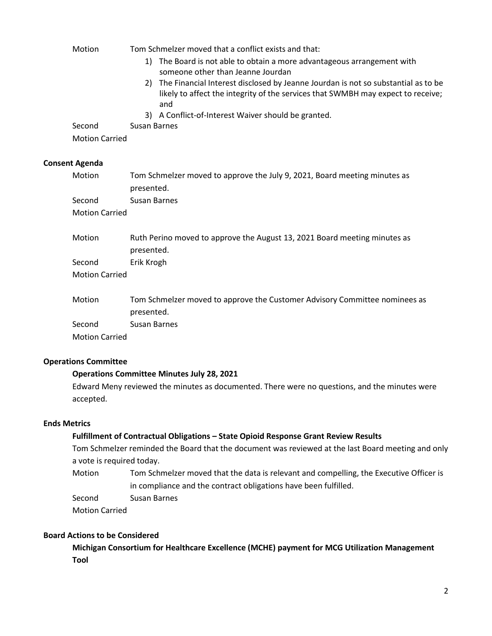| Motion                | Tom Schmelzer moved that a conflict exists and that:                                                                                                                            |  |
|-----------------------|---------------------------------------------------------------------------------------------------------------------------------------------------------------------------------|--|
|                       | 1) The Board is not able to obtain a more advantageous arrangement with<br>someone other than Jeanne Jourdan                                                                    |  |
|                       | 2) The Financial Interest disclosed by Jeanne Jourdan is not so substantial as to be<br>likely to affect the integrity of the services that SWMBH may expect to receive;<br>and |  |
|                       | 3) A Conflict-of-Interest Waiver should be granted.                                                                                                                             |  |
| Second                | Susan Barnes                                                                                                                                                                    |  |
| <b>Motion Carried</b> |                                                                                                                                                                                 |  |
| <b>Consent Agenda</b> |                                                                                                                                                                                 |  |
| Motion                | Tom Schmelzer moved to approve the July 9, 2021, Board meeting minutes as<br>presented.                                                                                         |  |
| Second                | Susan Barnes                                                                                                                                                                    |  |
| <b>Motion Carried</b> |                                                                                                                                                                                 |  |
| Motion                | Ruth Perino moved to approve the August 13, 2021 Board meeting minutes as<br>presented.                                                                                         |  |

Second Erik Krogh Motion Carried

| Motion                | Tom Schmelzer moved to approve the Customer Advisory Committee nominees as |
|-----------------------|----------------------------------------------------------------------------|
|                       | presented.                                                                 |
| Second                | Susan Barnes                                                               |
| <b>Motion Carried</b> |                                                                            |

# **Operations Committee**

## **Operations Committee Minutes July 28, 2021**

Edward Meny reviewed the minutes as documented. There were no questions, and the minutes were accepted.

# **Ends Metrics**

## **Fulfillment of Contractual Obligations – State Opioid Response Grant Review Results**

Tom Schmelzer reminded the Board that the document was reviewed at the last Board meeting and only a vote is required today.

Motion Tom Schmelzer moved that the data is relevant and compelling, the Executive Officer is in compliance and the contract obligations have been fulfilled.

Second Susan Barnes

Motion Carried

# **Board Actions to be Considered**

**Michigan Consortium for Healthcare Excellence (MCHE) payment for MCG Utilization Management Tool**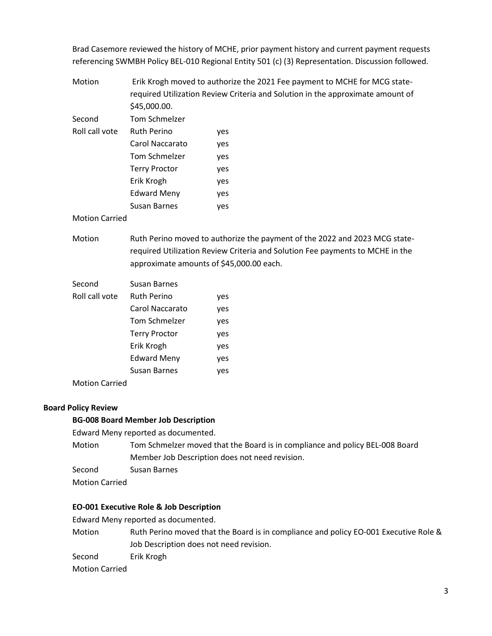Brad Casemore reviewed the history of MCHE, prior payment history and current payment requests referencing SWMBH Policy BEL-010 Regional Entity 501 (c) (3) Representation. Discussion followed.

Motion Erik Krogh moved to authorize the 2021 Fee payment to MCHE for MCG staterequired Utilization Review Criteria and Solution in the approximate amount of \$45,000.00.

| Second         | <b>Tom Schmelzer</b> |     |
|----------------|----------------------|-----|
| Roll call vote | <b>Ruth Perino</b>   | yes |
|                | Carol Naccarato      | yes |
|                | Tom Schmelzer        | yes |
|                | <b>Terry Proctor</b> | yes |
|                | Erik Krogh           | yes |
|                | <b>Edward Meny</b>   | yes |
|                | Susan Barnes         | ves |

## Motion Carried

Motion Ruth Perino moved to authorize the payment of the 2022 and 2023 MCG staterequired Utilization Review Criteria and Solution Fee payments to MCHE in the approximate amounts of \$45,000.00 each.

| Second         | Susan Barnes         |     |
|----------------|----------------------|-----|
| Roll call vote | <b>Ruth Perino</b>   | yes |
|                | Carol Naccarato      | yes |
|                | Tom Schmelzer        | yes |
|                | <b>Terry Proctor</b> | yes |
|                | Erik Krogh           | yes |
|                | <b>Edward Meny</b>   | yes |
|                | Susan Barnes         | yes |
|                |                      |     |

Motion Carried

## **Board Policy Review**

#### **BG-008 Board Member Job Description**

Edward Meny reported as documented.

- Motion Tom Schmelzer moved that the Board is in compliance and policy BEL-008 Board Member Job Description does not need revision.
- Second Susan Barnes

Motion Carried

## **EO-001 Executive Role & Job Description**

Edward Meny reported as documented.

Motion Ruth Perino moved that the Board is in compliance and policy EO-001 Executive Role & Job Description does not need revision.

Second Erik Krogh

Motion Carried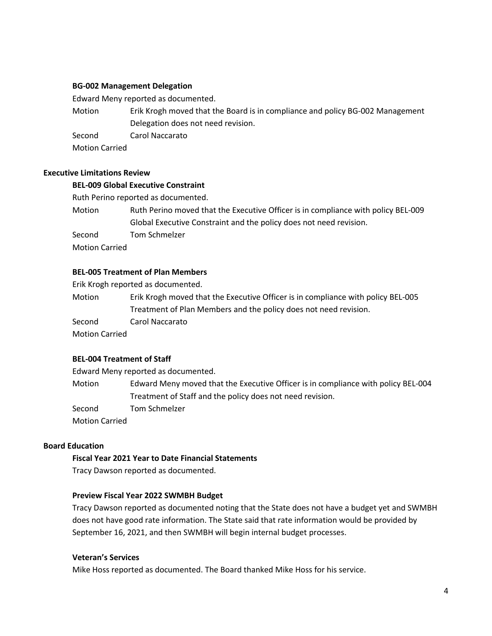## **BG-002 Management Delegation**

Edward Meny reported as documented.

Motion Erik Krogh moved that the Board is in compliance and policy BG-002 Management Delegation does not need revision.

Second Carol Naccarato

Motion Carried

# **Executive Limitations Review**

### **BEL-009 Global Executive Constraint**

Ruth Perino reported as documented.

| Motion                | Ruth Perino moved that the Executive Officer is in compliance with policy BEL-009 |
|-----------------------|-----------------------------------------------------------------------------------|
|                       | Global Executive Constraint and the policy does not need revision.                |
| Second                | Tom Schmelzer                                                                     |
| <b>Motion Carried</b> |                                                                                   |

## **BEL-005 Treatment of Plan Members**

Erik Krogh reported as documented.

Motion Erik Krogh moved that the Executive Officer is in compliance with policy BEL-005 Treatment of Plan Members and the policy does not need revision.

Second Carol Naccarato

Motion Carried

## **BEL-004 Treatment of Staff**

Edward Meny reported as documented.

Motion Edward Meny moved that the Executive Officer is in compliance with policy BEL-004 Treatment of Staff and the policy does not need revision.

Second Tom Schmelzer

Motion Carried

# **Board Education**

## **Fiscal Year 2021 Year to Date Financial Statements**

Tracy Dawson reported as documented.

#### **Preview Fiscal Year 2022 SWMBH Budget**

Tracy Dawson reported as documented noting that the State does not have a budget yet and SWMBH does not have good rate information. The State said that rate information would be provided by September 16, 2021, and then SWMBH will begin internal budget processes.

### **Veteran's Services**

Mike Hoss reported as documented. The Board thanked Mike Hoss for his service.